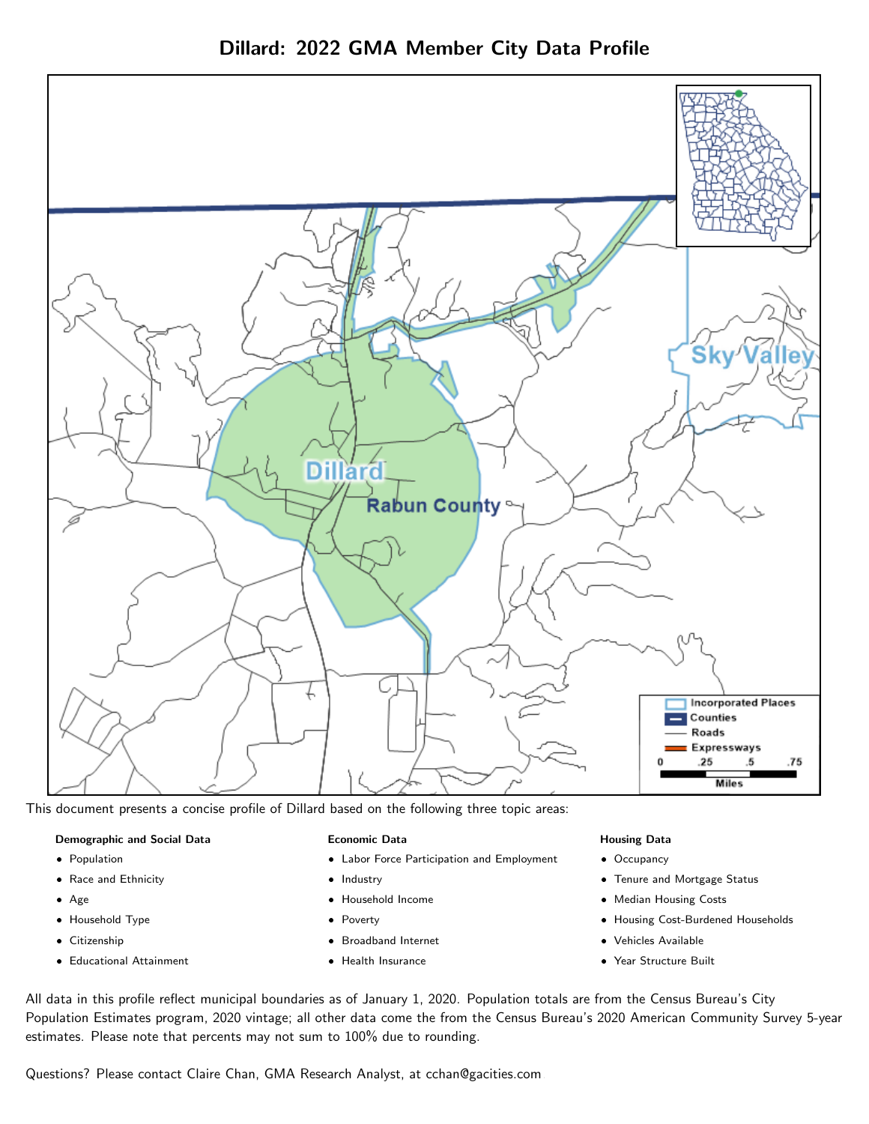

Dillard: 2022 GMA Member City Data Profile

This document presents a concise profile of Dillard based on the following three topic areas:

## Demographic and Social Data

- **•** Population
- Race and Ethnicity
- Age
- Household Type
- **Citizenship**
- Educational Attainment

## Economic Data

- Labor Force Participation and Employment
- Industry
- Household Income
- Poverty
- Broadband Internet
- Health Insurance

## Housing Data

- Occupancy
- Tenure and Mortgage Status
- Median Housing Costs
- Housing Cost-Burdened Households
- Vehicles Available
- Year Structure Built

All data in this profile reflect municipal boundaries as of January 1, 2020. Population totals are from the Census Bureau's City Population Estimates program, 2020 vintage; all other data come the from the Census Bureau's 2020 American Community Survey 5-year estimates. Please note that percents may not sum to 100% due to rounding.

Questions? Please contact Claire Chan, GMA Research Analyst, at [cchan@gacities.com.](mailto:cchan@gacities.com)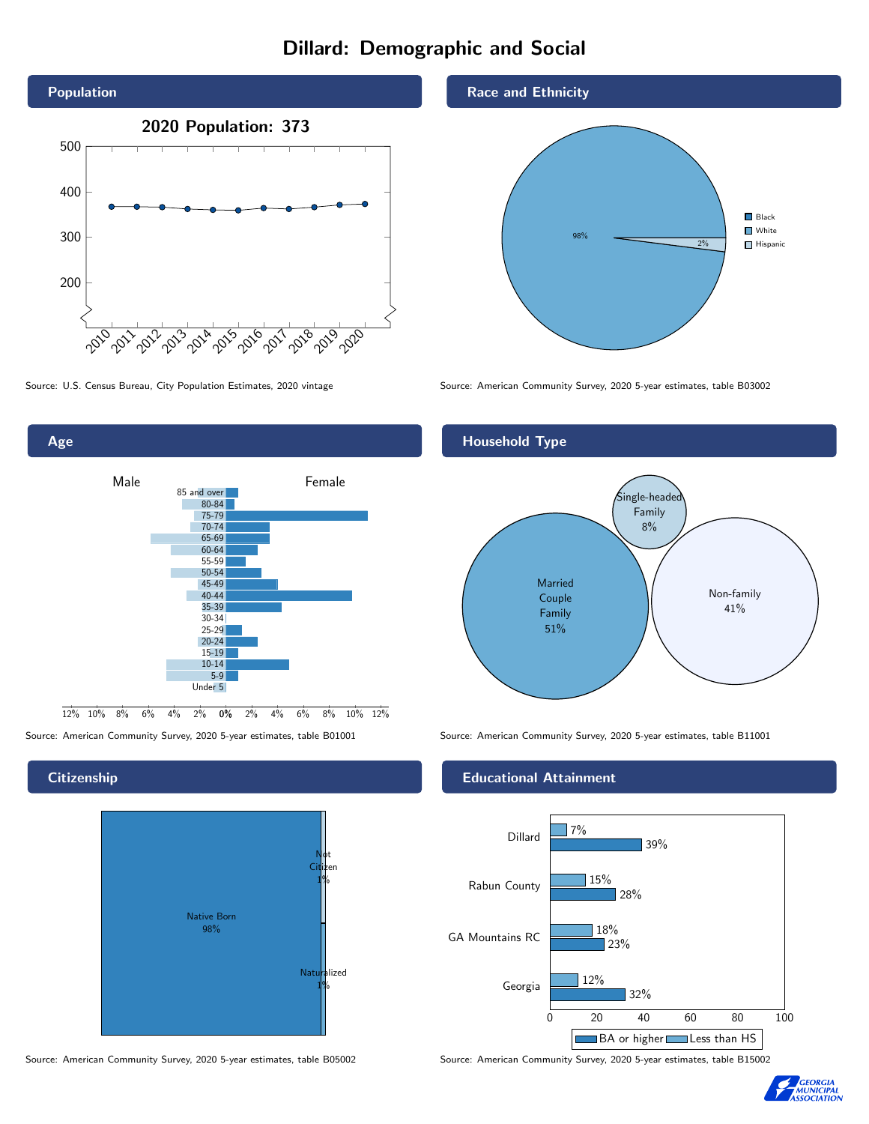# Dillard: Demographic and Social





## **Citizenship**



Source: American Community Survey, 2020 5-year estimates, table B05002 Source: American Community Survey, 2020 5-year estimates, table B15002

## Race and Ethnicity



Source: U.S. Census Bureau, City Population Estimates, 2020 vintage Source: American Community Survey, 2020 5-year estimates, table B03002



Source: American Community Survey, 2020 5-year estimates, table B01001 Source: American Community Survey, 2020 5-year estimates, table B11001

## Educational Attainment



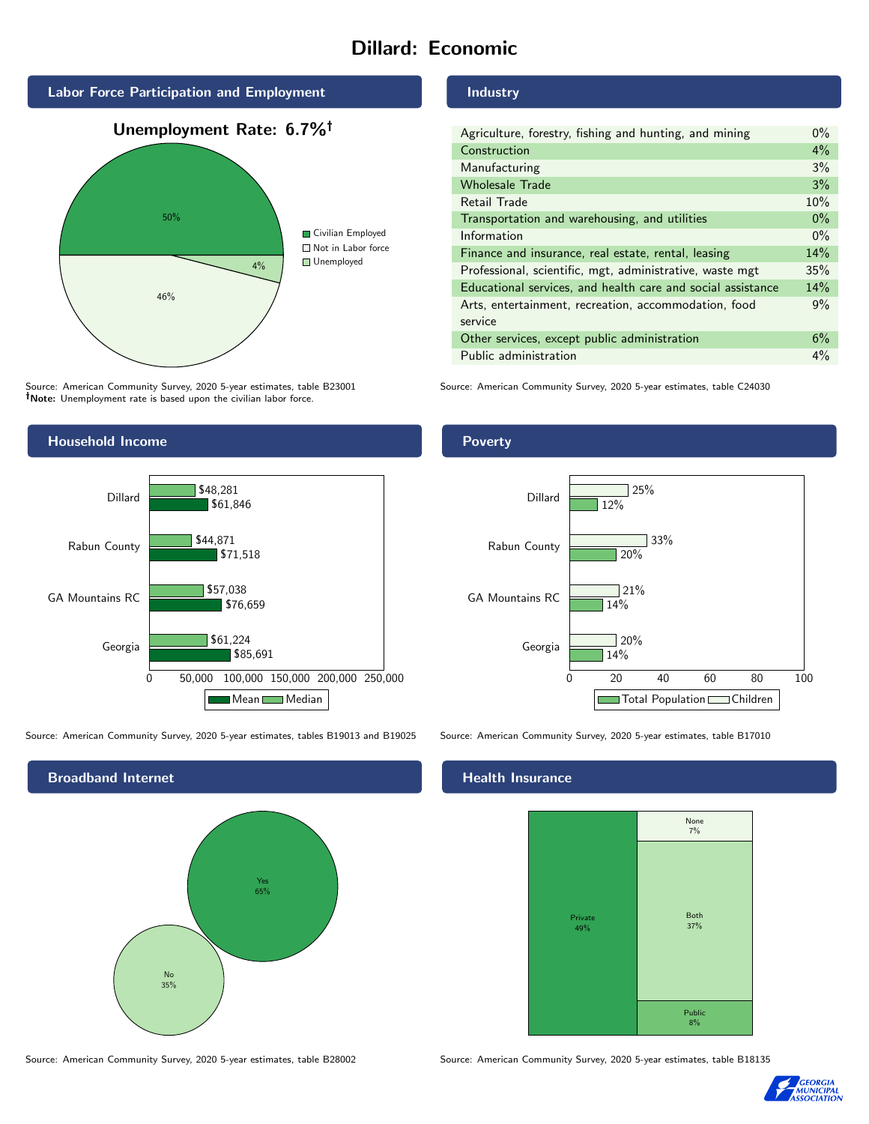# Dillard: Economic



Source: American Community Survey, 2020 5-year estimates, table B23001 Note: Unemployment rate is based upon the civilian labor force.

# Household Income



Source: American Community Survey, 2020 5-year estimates, tables B19013 and B19025 Source: American Community Survey, 2020 5-year estimates, table B17010



Source: American Community Survey, 2020 5-year estimates, table B28002 Source: American Community Survey, 2020 5-year estimates, table B18135

## Industry

| Agriculture, forestry, fishing and hunting, and mining      | $0\%$ |
|-------------------------------------------------------------|-------|
| Construction                                                | 4%    |
| Manufacturing                                               | 3%    |
| <b>Wholesale Trade</b>                                      | 3%    |
| Retail Trade                                                | 10%   |
| Transportation and warehousing, and utilities               | $0\%$ |
| Information                                                 | $0\%$ |
| Finance and insurance, real estate, rental, leasing         | 14%   |
| Professional, scientific, mgt, administrative, waste mgt    | 35%   |
| Educational services, and health care and social assistance | 14%   |
| Arts, entertainment, recreation, accommodation, food        | 9%    |
| service                                                     |       |
| Other services, except public administration                | 6%    |
| Public administration                                       | 4%    |

Source: American Community Survey, 2020 5-year estimates, table C24030

## Poverty



## **Health Insurance**